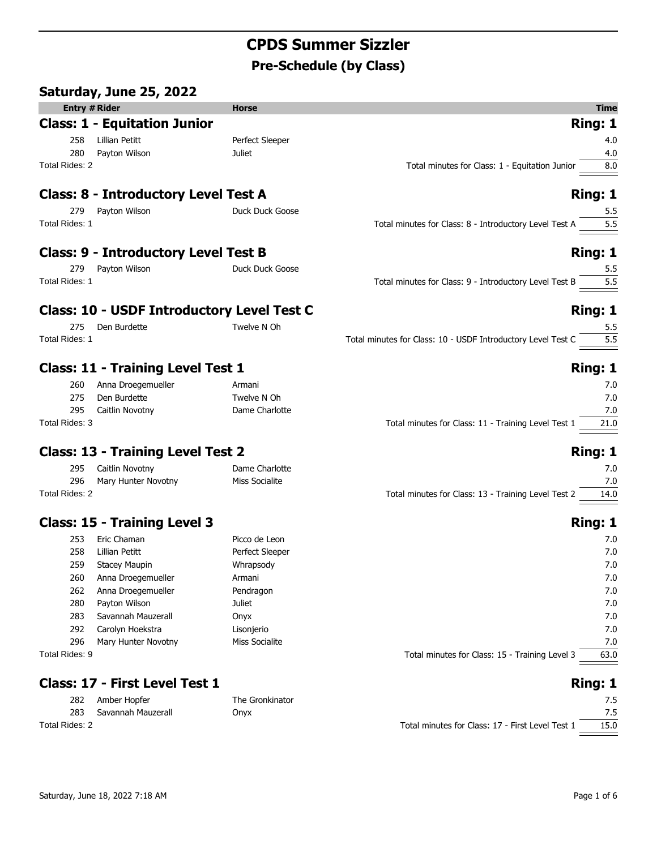# **CPDS Summer Sizzler Pre-Schedule (by Class)**

|                      | Saturday, June 25, 2022                           |                 |                                                                     |
|----------------------|---------------------------------------------------|-----------------|---------------------------------------------------------------------|
| <b>Entry # Rider</b> |                                                   | <b>Horse</b>    | <b>Time</b>                                                         |
|                      | <b>Class: 1 - Equitation Junior</b>               |                 | Ring: 1                                                             |
| 258                  | Lillian Petitt                                    | Perfect Sleeper | 4.0                                                                 |
| 280                  | Payton Wilson                                     | Juliet          | 4.0                                                                 |
| Total Rides: 2       |                                                   |                 | Total minutes for Class: 1 - Equitation Junior<br>8.0               |
|                      | <b>Class: 8 - Introductory Level Test A</b>       |                 | Ring: 1                                                             |
| 279                  | Payton Wilson                                     | Duck Duck Goose | 5.5                                                                 |
| Total Rides: 1       |                                                   |                 | 5.5<br>Total minutes for Class: 8 - Introductory Level Test A       |
|                      | <b>Class: 9 - Introductory Level Test B</b>       |                 | Ring: 1                                                             |
| 279                  | Payton Wilson                                     | Duck Duck Goose | 5.5                                                                 |
| Total Rides: 1       |                                                   |                 | Total minutes for Class: 9 - Introductory Level Test B<br>5.5       |
|                      | <b>Class: 10 - USDF Introductory Level Test C</b> |                 | Ring: 1                                                             |
| 275                  | Den Burdette                                      | Twelve N Oh     | 5.5                                                                 |
| Total Rides: 1       |                                                   |                 | Total minutes for Class: 10 - USDF Introductory Level Test C<br>5.5 |
|                      | <b>Class: 11 - Training Level Test 1</b>          |                 | <b>Ring: 1</b>                                                      |
| 260                  | Anna Droegemueller                                | Armani          | 7.0                                                                 |
| 275                  | Den Burdette                                      | Twelve N Oh     | 7.0                                                                 |
| 295                  | Caitlin Novotny                                   | Dame Charlotte  | 7.0                                                                 |
| Total Rides: 3       |                                                   |                 | Total minutes for Class: 11 - Training Level Test 1<br>21.0         |
|                      | <b>Class: 13 - Training Level Test 2</b>          |                 | Ring: 1                                                             |
| 295                  | Caitlin Novotny                                   | Dame Charlotte  | 7.0                                                                 |
| 296                  | Mary Hunter Novotny                               | Miss Socialite  | 7.0                                                                 |
| Total Rides: 2       |                                                   |                 | Total minutes for Class: 13 - Training Level Test 2<br>14.0         |
|                      | <b>Class: 15 - Training Level 3</b>               |                 | Ring: 1                                                             |
| 253                  | Eric Chaman                                       | Picco de Leon   | 7.0                                                                 |
| 258                  | Lillian Petitt                                    | Perfect Sleeper | 7.0                                                                 |
| 259                  | Stacey Maupin                                     | Whrapsody       | 7.0                                                                 |
| 260                  | Anna Droegemueller                                | Armani          | 7.0                                                                 |
| 262                  | Anna Droegemueller                                | Pendragon       | 7.0                                                                 |
| 280                  | Payton Wilson                                     | Juliet          | 7.0                                                                 |
| 283                  | Savannah Mauzerall                                | Onyx            | 7.0                                                                 |

Total Rides: 9 Total minutes for Class: 15 - Training Level 3 63.0

### **Class: 17 - First Level Test 1 Ring: 1 Ring: 1**

| 282            | Amber Hopfer       | The Gronkinator |                                                  |      |
|----------------|--------------------|-----------------|--------------------------------------------------|------|
| 283            | Savannah Mauzerall | Onyx            |                                                  |      |
| Total Rides: 2 |                    |                 | Total minutes for Class: 17 - First Level Test 1 | 15.0 |

292 Carolyn Hoekstra Lisonjerio 7.0 296 Mary Hunter Novotny Miss Socialite 7.0 Miss Socialite 7.0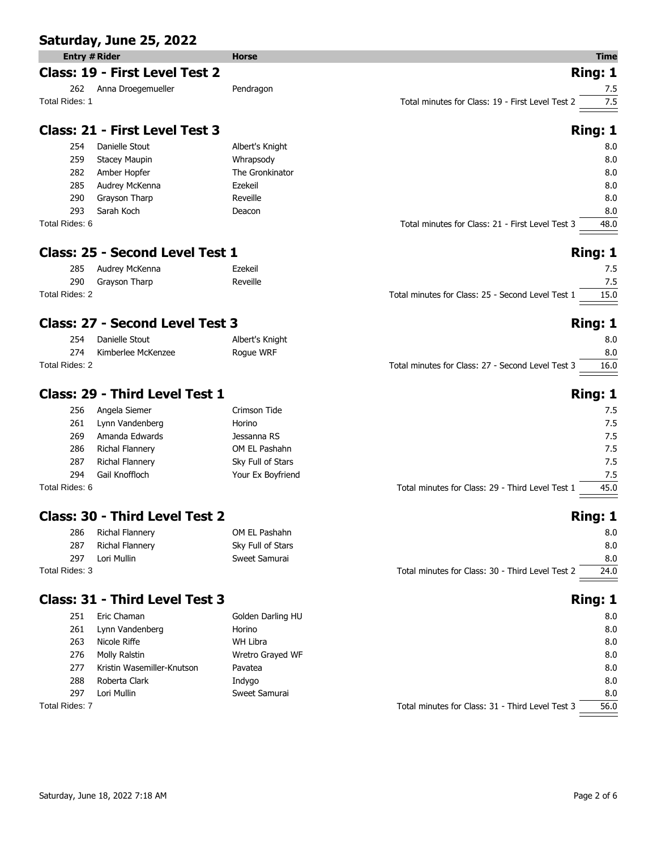|                | Saturday, June 25, 2022                |                   |                                                   |             |
|----------------|----------------------------------------|-------------------|---------------------------------------------------|-------------|
|                | <b>Entry # Rider</b>                   | <b>Horse</b>      |                                                   | <b>Time</b> |
|                | <b>Class: 19 - First Level Test 2</b>  |                   |                                                   | Ring: 1     |
| 262            | Anna Droegemueller                     | Pendragon         |                                                   | 7.5         |
| Total Rides: 1 |                                        |                   | Total minutes for Class: 19 - First Level Test 2  | 7.5         |
|                | Class: 21 - First Level Test 3         |                   | Ring: 1                                           |             |
| 254            | Danielle Stout                         | Albert's Knight   |                                                   | 8.0         |
| 259            | <b>Stacey Maupin</b>                   | Whrapsody         |                                                   | 8.0         |
| 282            | Amber Hopfer                           | The Gronkinator   |                                                   | 8.0         |
| 285            | Audrey McKenna                         | Ezekeil           |                                                   | 8.0         |
| 290            | Grayson Tharp                          | Reveille          |                                                   | 8.0         |
| 293            | Sarah Koch                             | Deacon            |                                                   | 8.0         |
| Total Rides: 6 |                                        |                   | Total minutes for Class: 21 - First Level Test 3  | 48.0        |
|                | Class: 25 - Second Level Test 1        |                   | Ring: 1                                           |             |
| 285            | Audrey McKenna                         | Ezekeil           |                                                   | 7.5         |
| 290            | Grayson Tharp                          | Reveille          |                                                   | 7.5         |
| Total Rides: 2 |                                        |                   | Total minutes for Class: 25 - Second Level Test 1 | 15.0        |
|                | <b>Class: 27 - Second Level Test 3</b> |                   | Ring: 1                                           |             |
| 254            | Danielle Stout                         | Albert's Knight   |                                                   | 8.0         |
| 274            | Kimberlee McKenzee                     | Roque WRF         |                                                   | 8.0         |
| Total Rides: 2 |                                        |                   | Total minutes for Class: 27 - Second Level Test 3 | 16.0        |
|                | <b>Class: 29 - Third Level Test 1</b>  |                   | Ring: 1                                           |             |
| 256            | Angela Siemer                          | Crimson Tide      |                                                   | 7.5         |
| 261            | Lynn Vandenberg                        | Horino            |                                                   | 7.5         |
| 269            | Amanda Edwards                         | Jessanna RS       |                                                   | 7.5         |
| 286            | Richal Flannery                        | OM EL Pashahn     |                                                   | 7.5         |
| 287            | Richal Flannery                        | Sky Full of Stars |                                                   | 7.5         |
| 294            | Gail Knoffloch                         | Your Ex Boyfriend |                                                   | 7.5         |
| Total Rides: 6 |                                        |                   | Total minutes for Class: 29 - Third Level Test 1  | 45.0        |
|                | <b>Class: 30 - Third Level Test 2</b>  |                   |                                                   | Ring: 1     |

| 286            | Richal Flannery | OM EL Pashahn     |                                                  | 8.0  |
|----------------|-----------------|-------------------|--------------------------------------------------|------|
| 287            | Richal Flannery | Sky Full of Stars |                                                  | 8.0  |
| 297            | Lori Mullin     | Sweet Samurai     |                                                  | 8.0  |
| Total Rides: 3 |                 |                   | Total minutes for Class: 30 - Third Level Test 2 | 24.0 |
|                |                 |                   |                                                  |      |

# **Class: 31 - Third Level Test 3 Ring: 1 Ring: 1**

| 251            | Eric Chaman                | Golden Darling HU |                                                  | 8.0  |
|----------------|----------------------------|-------------------|--------------------------------------------------|------|
| 261            | Lynn Vandenberg            | Horino            |                                                  | 8.0  |
| 263            | Nicole Riffe               | WH Libra          |                                                  | 8.0  |
| 276            | Molly Ralstin              | Wretro Grayed WF  |                                                  | 8.0  |
| 277            | Kristin Wasemiller-Knutson | Pavatea           |                                                  | 8.0  |
| 288            | Roberta Clark              | Indygo            |                                                  | 8.0  |
| 297            | Lori Mullin                | Sweet Samurai     |                                                  | 8.0  |
| Total Rides: 7 |                            |                   | Total minutes for Class: 31 - Third Level Test 3 | 56.0 |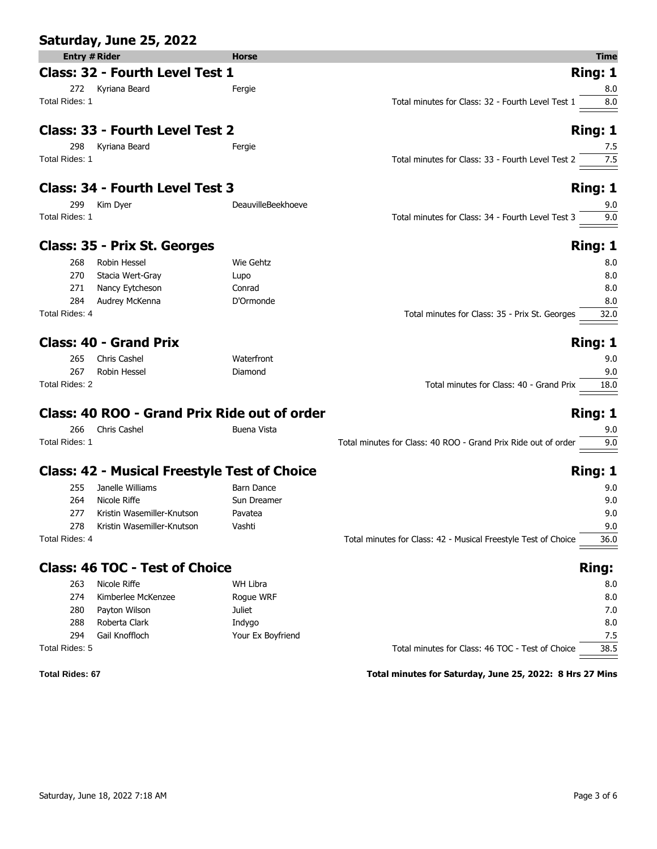|                      | Saturday, June 25, 2022                             |                    |                                                                |              |
|----------------------|-----------------------------------------------------|--------------------|----------------------------------------------------------------|--------------|
| <b>Entry # Rider</b> |                                                     | <b>Horse</b>       |                                                                | Time         |
|                      | Class: 32 - Fourth Level Test 1                     |                    | Ring: 1                                                        |              |
|                      | 272 Kyriana Beard                                   | Fergie             |                                                                | 8.0          |
| Total Rides: 1       |                                                     |                    | Total minutes for Class: 32 - Fourth Level Test 1              | 8.0          |
|                      | <b>Class: 33 - Fourth Level Test 2</b>              |                    | Ring: 1                                                        |              |
| 298                  | Kyriana Beard                                       | Fergie             |                                                                | 7.5          |
| Total Rides: 1       |                                                     |                    | Total minutes for Class: 33 - Fourth Level Test 2              | 7.5          |
|                      | Class: 34 - Fourth Level Test 3                     |                    | Ring: 1                                                        |              |
| 299                  | Kim Dyer                                            | DeauvilleBeekhoeve |                                                                | 9.0          |
| Total Rides: 1       |                                                     |                    | Total minutes for Class: 34 - Fourth Level Test 3              | 9.0          |
|                      | Class: 35 - Prix St. Georges                        |                    | Ring: 1                                                        |              |
| 268                  | Robin Hessel                                        | Wie Gehtz          |                                                                | 8.0          |
| 270                  | Stacia Wert-Gray                                    | Lupo               |                                                                | 8.0          |
| 271                  | Nancy Eytcheson                                     | Conrad             |                                                                | 8.0          |
| 284                  | Audrey McKenna                                      | D'Ormonde          |                                                                | 8.0          |
| Total Rides: 4       |                                                     |                    | Total minutes for Class: 35 - Prix St. Georges                 | 32.0         |
|                      | <b>Class: 40 - Grand Prix</b>                       |                    | Ring: 1                                                        |              |
| 265                  | Chris Cashel                                        | Waterfront         |                                                                | 9.0          |
| 267                  | Robin Hessel                                        | Diamond            |                                                                | 9.0          |
| Total Rides: 2       |                                                     |                    | Total minutes for Class: 40 - Grand Prix                       | 18.0         |
|                      | <b>Class: 40 ROO - Grand Prix Ride out of order</b> |                    | Ring: 1                                                        |              |
| 266                  | Chris Cashel                                        | Buena Vista        |                                                                | 9.0          |
| Total Rides: 1       |                                                     |                    | Total minutes for Class: 40 ROO - Grand Prix Ride out of order | 9.0          |
|                      | <b>Class: 42 - Musical Freestyle Test of Choice</b> |                    | Ring: 1                                                        |              |
| 255                  | Janelle Williams                                    | <b>Barn Dance</b>  |                                                                | 9.0          |
| 264                  | Nicole Riffe                                        | Sun Dreamer        |                                                                | 9.0          |
| 277                  | Kristin Wasemiller-Knutson                          | Pavatea            |                                                                | 9.0          |
| 278                  | Kristin Wasemiller-Knutson                          | Vashti             |                                                                | 9.0          |
| Total Rides: 4       |                                                     |                    | Total minutes for Class: 42 - Musical Freestyle Test of Choice | 36.0         |
|                      | <b>Class: 46 TOC - Test of Choice</b>               |                    |                                                                | <b>Ring:</b> |
| 263                  | Nicole Riffe                                        | <b>WH Libra</b>    |                                                                | 8.0          |
| 274                  | Kimberlee McKenzee                                  | Rogue WRF          |                                                                | 8.0          |
| 280                  | Payton Wilson                                       | <b>Juliet</b>      |                                                                | 7.0          |
| 288                  | Roberta Clark                                       | Indygo             |                                                                | 8.0          |
| 294                  | Gail Knoffloch                                      | Your Ex Boyfriend  |                                                                | 7.5          |
| Total Rides: 5       |                                                     |                    | Total minutes for Class: 46 TOC - Test of Choice               | 38.5         |

Total Rides: 5 Total minutes for Class: 46 TOC - Test of Choice

### **Total Rides: 67 Total minutes for Saturday, June 25, 2022: 8 Hrs 27 Mins**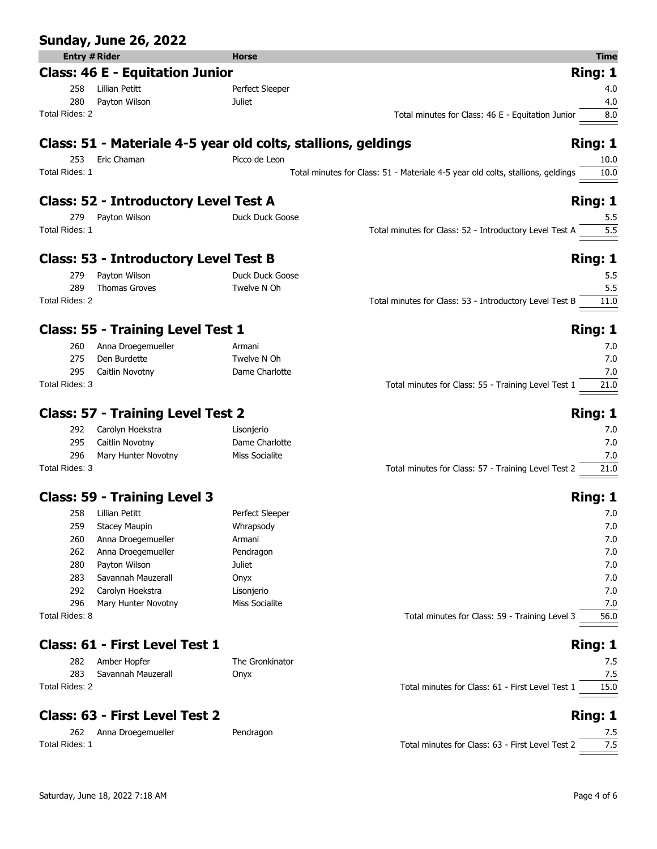|                      | <b>Sunday, June 26, 2022</b>                 |                                                               |                                                                                         |
|----------------------|----------------------------------------------|---------------------------------------------------------------|-----------------------------------------------------------------------------------------|
| <b>Entry # Rider</b> |                                              | <b>Horse</b>                                                  | <b>Time</b>                                                                             |
|                      | <b>Class: 46 E - Equitation Junior</b>       |                                                               | <b>Ring: 1</b>                                                                          |
| 258                  | Lillian Petitt                               | Perfect Sleeper                                               | 4.0                                                                                     |
| 280                  | Payton Wilson                                | Juliet                                                        | 4.0                                                                                     |
| Total Rides: 2       |                                              |                                                               | Total minutes for Class: 46 E - Equitation Junior<br>8.0                                |
|                      |                                              | Class: 51 - Materiale 4-5 year old colts, stallions, geldings | <b>Ring: 1</b>                                                                          |
| 253                  | Eric Chaman                                  | Picco de Leon                                                 | 10.0                                                                                    |
| Total Rides: 1       |                                              |                                                               | Total minutes for Class: 51 - Materiale 4-5 year old colts, stallions, geldings<br>10.0 |
|                      | <b>Class: 52 - Introductory Level Test A</b> |                                                               | <b>Ring: 1</b>                                                                          |
| 279                  | Payton Wilson                                | Duck Duck Goose                                               | 5.5                                                                                     |
| Total Rides: 1       |                                              |                                                               | Total minutes for Class: 52 - Introductory Level Test A<br>5.5                          |
|                      | <b>Class: 53 - Introductory Level Test B</b> |                                                               | Ring: 1                                                                                 |
| 279                  | Payton Wilson                                | Duck Duck Goose                                               | 5.5                                                                                     |
| 289                  | <b>Thomas Groves</b>                         | Twelve N Oh                                                   | 5.5                                                                                     |
| Total Rides: 2       |                                              |                                                               | Total minutes for Class: 53 - Introductory Level Test B<br>11.0                         |
|                      |                                              |                                                               |                                                                                         |
|                      | <b>Class: 55 - Training Level Test 1</b>     |                                                               | Ring: 1                                                                                 |
| 260                  | Anna Droegemueller                           | Armani                                                        | 7.0                                                                                     |
| 275                  | Den Burdette                                 | Twelve N Oh                                                   | 7.0                                                                                     |
| 295                  | Caitlin Novotny                              | Dame Charlotte                                                | 7.0                                                                                     |
| Total Rides: 3       |                                              |                                                               | Total minutes for Class: 55 - Training Level Test 1<br>21.0                             |
|                      | <b>Class: 57 - Training Level Test 2</b>     |                                                               | <b>Ring: 1</b>                                                                          |
| 292                  | Carolyn Hoekstra                             | Lisonjerio                                                    | 7.0                                                                                     |
| 295                  | Caitlin Novotny                              | Dame Charlotte                                                | 7.0                                                                                     |
| 296                  | Mary Hunter Novotny                          | Miss Socialite                                                | 7.0                                                                                     |
| Total Rides: 3       |                                              |                                                               | Total minutes for Class: 57 - Training Level Test 2<br>21.0                             |
|                      | <b>Class: 59 - Training Level 3</b>          |                                                               | Ring: 1                                                                                 |
|                      | 258 Lillian Petitt                           | Perfect Sleeper                                               | 7.0                                                                                     |
| 259                  | <b>Stacey Maupin</b>                         | Whrapsody                                                     | 7.0                                                                                     |
| 260                  | Anna Droegemueller                           | Armani                                                        | 7.0                                                                                     |
| 262                  | Anna Droegemueller                           | Pendragon                                                     | 7.0                                                                                     |
| 280                  | Payton Wilson                                | Juliet                                                        | 7.0                                                                                     |
| 283                  | Savannah Mauzerall                           | Onyx                                                          | 7.0                                                                                     |
| 292                  | Carolyn Hoekstra                             | Lisonjerio                                                    | 7.0                                                                                     |
| 296                  | Mary Hunter Novotny                          | Miss Socialite                                                | 7.0                                                                                     |
| Total Rides: 8       |                                              |                                                               | Total minutes for Class: 59 - Training Level 3<br>56.0                                  |
|                      | Class: 61 - First Level Test 1               |                                                               | <b>Ring: 1</b>                                                                          |
| 282                  | Amber Hopfer                                 | The Gronkinator                                               | 7.5                                                                                     |

|                | 282 Amber Hopfer       |
|----------------|------------------------|
|                | 283 Savannah Mauzerall |
| Total Rides: 2 |                        |

# **Class: 63 - First Level Test 2 Ring: 1 Ring: 1**

262 Anna Droegemueller Pendragon 7.5

| 282            | Amber Hopfer       | The Gronkinator |                                                  |      |
|----------------|--------------------|-----------------|--------------------------------------------------|------|
| 283            | Savannah Mauzerall | Onyx            |                                                  |      |
| Total Rides: 2 |                    |                 | Total minutes for Class: 61 - First Level Test 1 | 15.0 |
|                |                    |                 |                                                  |      |

Total Rides: 1 Total minutes for Class: 63 - First Level Test 2 7.5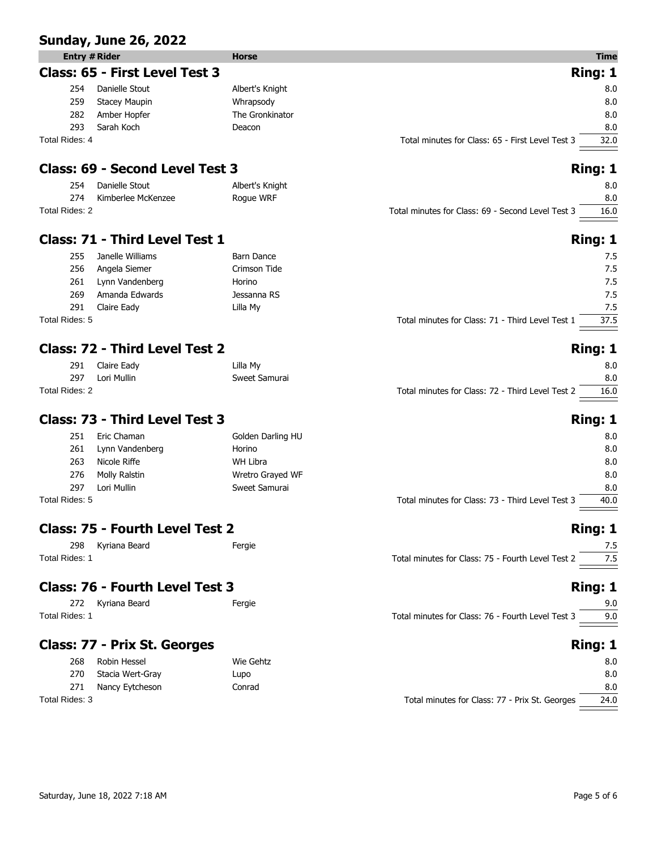### **Sunday, June 26, 2022**

|                | <b>Entry # Rider</b>           | <b>Horse</b>    |                                                  | <b>Time</b> |
|----------------|--------------------------------|-----------------|--------------------------------------------------|-------------|
|                | Class: 65 - First Level Test 3 |                 |                                                  | Ring: 1     |
| 254            | Danielle Stout                 | Albert's Knight |                                                  | 8.0         |
| 259            | <b>Stacey Maupin</b>           | Whrapsody       |                                                  | 8.0         |
| 282            | Amber Hopfer                   | The Gronkinator |                                                  | 8.0         |
| 293            | Sarah Koch                     | Deacon          |                                                  | 8.0         |
| Total Rides: 4 |                                |                 | Total minutes for Class: 65 - First Level Test 3 | 32.0        |

# **Class: 69 - Second Level Test 3 Ring: 1 Ring: 1 Ring: 1**

| 254            | Danielle Stout     | Albert's Knight |                                                   | 8.0  |
|----------------|--------------------|-----------------|---------------------------------------------------|------|
| 274            | Kimberlee McKenzee | Rogue WRF       |                                                   | 8.0  |
| Total Rides: 2 |                    |                 | Total minutes for Class: 69 - Second Level Test 3 | 16.0 |

# **Class: 71 - Third Level Test 1 Ring: 1 Ring: 1 Ring: 1**

| 255            | Janelle Williams | Barn Dance   |                                                  | 7.5  |
|----------------|------------------|--------------|--------------------------------------------------|------|
| 256            | Angela Siemer    | Crimson Tide |                                                  | 7.5  |
| 261            | Lynn Vandenberg  | Horino       |                                                  | 7.5  |
| 269            | Amanda Edwards   | Jessanna RS  |                                                  | 7.5  |
| 291            | Claire Eady      | Lilla My     |                                                  | 7.5  |
| Total Rides: 5 |                  |              | Total minutes for Class: 71 - Third Level Test 1 | 37.5 |

### **Class: 72 - Third Level Test 2 Ring: 1 Ring: 1 Ring: 1**

| 291            | Claire Eady | Lilla Mv      |                                                  | 8.0  |
|----------------|-------------|---------------|--------------------------------------------------|------|
| 297            | Lori Mullin | Sweet Samurai |                                                  | 8.0  |
| Total Rides: 2 |             |               | Total minutes for Class: 72 - Third Level Test 2 | 16.0 |

### **Class: 73 - Third Level Test 3 Ring: 1 Ring: 1**

| 251            | Eric Chaman     | Golden Darling HU |                                                  | 8.0  |
|----------------|-----------------|-------------------|--------------------------------------------------|------|
| 261            | Lynn Vandenberg | Horino            |                                                  | 8.0  |
| 263            | Nicole Riffe    | WH Libra          |                                                  | 8.0  |
| 276            | Molly Ralstin   | Wretro Grayed WF  |                                                  | 8.0  |
| 297            | Lori Mullin     | Sweet Samurai     |                                                  | 8.0  |
| Total Rides: 5 |                 |                   | Total minutes for Class: 73 - Third Level Test 3 | 40.0 |
|                |                 |                   |                                                  |      |

### **Class: 75 - Fourth Level Test 2 Ring: 1 Ring: 1**

298 Kyriana Beard **Fergie** Total Rides: 1 Total minutes for Class: 75 - Fourth Level Test 2 7.5

### **Class: 76 - Fourth Level Test 3 Ring: 1 Ring: 1**

| 272            | Kvriana Beard | Fergie |                                                   |     |
|----------------|---------------|--------|---------------------------------------------------|-----|
| Total Rides: 1 |               |        | Total minutes for Class: 76 - Fourth Level Test 3 | 9.0 |
|                |               |        |                                                   |     |

# **Class: 77 - Prix St. Georges Ring: 1 Ring: 1 Ring: 1**

| 268            | Robin Hessel     | Wie Gehtz |                                                | 8.0  |
|----------------|------------------|-----------|------------------------------------------------|------|
| 270            | Stacia Wert-Gray | Lupo      |                                                | 8.0  |
| 271            | Nancy Eytcheson  | Conrad    |                                                | 8.0  |
| Total Rides: 3 |                  |           | Total minutes for Class: 77 - Prix St. Georges | 24.0 |

| Il minutes for Class: 75 - Fourth Level Test 2 | 7.5 |
|------------------------------------------------|-----|
|                                                |     |

| nutes for Class: 72 - Third Level Test 2 |             |
|------------------------------------------|-------------|
|                                          | <b>Ring</b> |
|                                          |             |